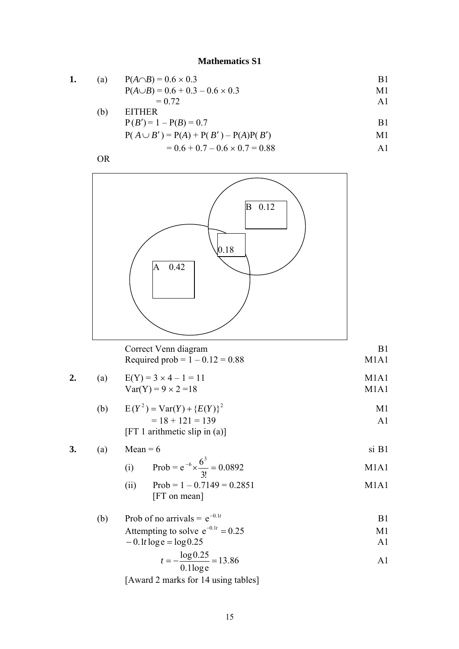## **Mathematics S1**

1. (a) 
$$
P(A \cap B) = 0.6 \times 0.3
$$
  
\t $P(A \cup B) = 0.6 + 0.3 - 0.6 \times 0.3$   
\t $M1$ 

$$
= 0.72
$$

$$
P(B') = 1 - P(B) = 0.7
$$
  
\n
$$
P(A \cup B') = P(A) + P(B') - P(A)P(B')
$$
  
\n
$$
M1
$$

$$
= 0.6 + 0.7 - 0.6 \times 0.7 = 0.88
$$





| Correct Venn diagram              |      |
|-----------------------------------|------|
| Required prob = $1 - 0.12 = 0.88$ | M1A1 |

2. (a) 
$$
E(Y) = 3 \times 4 - 1 = 11
$$
  
  $Var(Y) = 9 \times 2 = 18$  M1A1  
M1A1

(b) 
$$
E(Y^2) = Var(Y) + {E(Y)}^2
$$
  
= 18 + 121 = 139  
[FT 1 arithmetic slip in (a)]

**3.** (a) Mean = 6 si B1 63

(i) Prob = 
$$
e^{-6} \times \frac{6^3}{3!} = 0.0892
$$
 M1A1

(ii) 
$$
Prob = 1 - 0.7149 = 0.2851
$$
 M1A1  
[FT on mean]

(b) Prob of no arrivals = 
$$
e^{-0.1t}
$$
 B1

$$
Attempting to solve e^{-0.1t} = 0.25
$$

$$
-0.1t \log e = \log 0.25
$$

$$
t = -\frac{\log 0.25}{0.1 \log e} = 13.86
$$
 A1

[Award 2 marks for 14 using tables]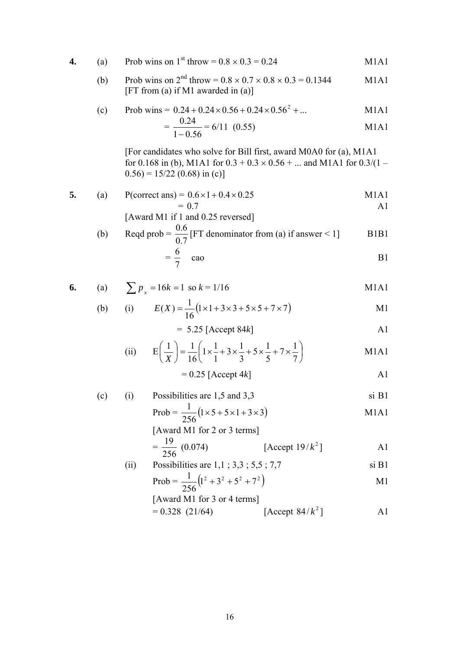4. (a) Prob wins on 1<sup>st</sup> throw = 
$$
0.8 \times 0.3 = 0.24
$$
 M1A1

(b) Prob wins on 
$$
2^{\text{nd}}
$$
 throw =  $0.8 \times 0.7 \times 0.8 \times 0.3 = 0.1344$  M1A1  
[FT from (a) if M1 awarded in (a)]

(c) Prob wins = 
$$
0.24 + 0.24 \times 0.56 + 0.24 \times 0.56^2 + ...
$$
 M1A1

$$
= \frac{0.24}{1 - 0.56} = 6/11 \quad (0.55)
$$
 M1A1

[For candidates who solve for Bill first, award M0A0 for (a), M1A1 for 0.168 in (b), M1A1 for  $0.3 + 0.3 \times 0.56 + ...$  and M1A1 for  $0.3/(1 0.56$ ) = 15/22 (0.68) in (c)]

5. (a) P(correct ans) = 
$$
0.6 \times 1 + 0.4 \times 0.25
$$
  
= 0.7  
[ Award M1 if 1 and 0.25 reversed]

(b) Read prob = 
$$
\frac{0.6}{0.7}
$$
 [FT denominator from (a) if answer < 1]  
=  $\frac{6}{7}$  cao B1

6. (a) 
$$
\sum p_x = 16k = 1
$$
 so  $k = 1/16$  M1A1

(b) (i) 
$$
E(X) = \frac{1}{16} (1 \times 1 + 3 \times 3 + 5 \times 5 + 7 \times 7)
$$
 M1

$$
= 5.25 \text{ [Accept 84k]}
$$

(ii) 
$$
E\left(\frac{1}{X}\right) = \frac{1}{16} \left( 1 \times \frac{1}{1} + 3 \times \frac{1}{3} + 5 \times \frac{1}{5} + 7 \times \frac{1}{7} \right)
$$
 M1A1

$$
= 0.25 \text{ [Accept 4k]}
$$

(c) (i) Possibilities are 
$$
1,5
$$
 and  $3,3$  si  $B1$ 

$$
Prob = \frac{1}{256} (1 \times 5 + 5 \times 1 + 3 \times 3)
$$
 M1A1

[Award M1 for 2 or 3 terms]  
= 
$$
\frac{19}{256}
$$
 (0.074) [Accept 19/k<sup>2</sup>] A1

(ii) Possibilities are 
$$
1,1; 3,3; 5,5; 7,7
$$
 si B1

$$
Prob = \frac{1}{256} (1^2 + 3^2 + 5^2 + 7^2)
$$

[Award M1 for 3 or 4 terms]  

$$
0.328
$$
 (21/64)

$$
= 0.328 \text{ (21/64)} \qquad \qquad [\text{Accept } 84/k^2] \qquad \qquad \text{A1}
$$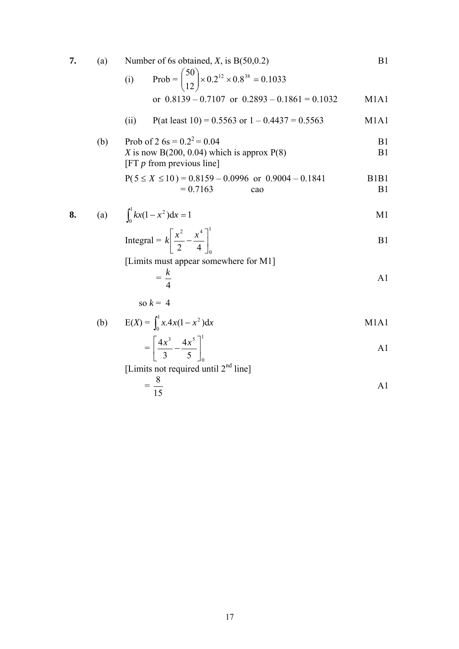| 7. | (a) | Number of 6s obtained, $X$ , is B(50,0.2)                                                                    | B1                                              |
|----|-----|--------------------------------------------------------------------------------------------------------------|-------------------------------------------------|
|    |     | Prob = $\binom{50}{12}$ × 0.2 <sup>12</sup> × 0.8 <sup>38</sup> = 0.1033<br>(i)                              |                                                 |
|    |     | or $0.8139 - 0.7107$ or $0.2893 - 0.1861 = 0.1032$                                                           | M <sub>1</sub> A <sub>1</sub>                   |
|    |     | P(at least 10) = 0.5563 or $1 - 0.4437 = 0.5563$<br>(ii)                                                     | M <sub>1</sub> A <sub>1</sub>                   |
|    | (b) | Prob of 2 $6s = 0.2^2 = 0.04$<br>X is now B(200, 0.04) which is approx $P(8)$<br>[FT $p$ from previous line] | B1<br>B1                                        |
|    |     | $P(5 \le X \le 10) = 0.8159 - 0.0996$ or $0.9004 - 0.1841$<br>$= 0.7163$<br>cao                              | B <sub>1</sub> B <sub>1</sub><br>B <sub>1</sub> |
| 8. |     | (a) $\int_0^1 kx(1-x^2)dx = 1$                                                                               | M1                                              |
|    |     | Integral = $k \left[ \frac{x^2}{2} - \frac{x^4}{4} \right]$                                                  | B1                                              |
|    |     | [Limits must appear somewhere for M1]<br>$=\frac{k}{4}$                                                      |                                                 |
|    |     |                                                                                                              | A1                                              |
|    |     | so $k = 4$                                                                                                   |                                                 |
|    | (b) | $E(X) = \int_0^1 x \cdot 4x(1 - x^2) dx$                                                                     | M1A1                                            |
|    |     | $=\left[\frac{4x^3}{3}-\frac{4x^5}{5}\right]$                                                                | A1                                              |
|    |     | [Limits not required until $2nd$ line]                                                                       |                                                 |
|    |     | $=\frac{8}{15}$                                                                                              | A1                                              |
|    |     |                                                                                                              |                                                 |